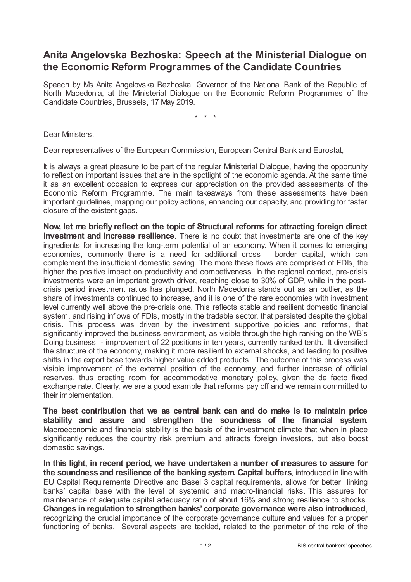## **Anita Angelovska Bezhoska: Speech at the Ministerial Dialogue on the Economic Reform Programmes of the Candidate Countries**

Speech by Ms Anita Angelovska Bezhoska, Governor of the National Bank of the Republic of North Macedonia, at the Ministerial Dialogue on the Economic Reform Programmes of the Candidate Countries, Brussels, 17 May 2019.

\* \* \*

Dear Ministers,

Dear representatives of the European Commission, European Central Bank and Eurostat,

It is always a great pleasure to be part of the regular Ministerial Dialogue, having the opportunity to reflect on important issues that are in the spotlight of the economic agenda. At the same time it as an excellent occasion to express our appreciation on the provided assessments of the Economic Reform Programme. The main takeaways from these assessments have been important guidelines, mapping our policy actions, enhancing our capacity, and providing for faster closure of the existent gaps.

**Now, let me briefly reflect on the topic of Structural reforms for attracting foreign direct investment and increase resilience**. There is no doubt that investments are one of the key ingredients for increasing the long-term potential of an economy. When it comes to emerging economies, commonly there is a need for additional cross – border capital, which can complement the insufficient domestic saving. The more these flows are comprised of FDIs, the higher the positive impact on productivity and competiveness. In the regional context, pre-crisis investments were an important growth driver, reaching close to 30% of GDP, while in the postcrisis period investment ratios has plunged. North Macedonia stands out as an outlier, as the share of investments continued to increase, and it is one of the rare economies with investment level currently well above the pre-crisis one. This reflects stable and resilient domestic financial system, and rising inflows of FDIs, mostly in the tradable sector, that persisted despite the global crisis. This process was driven by the investment supportive policies and reforms, that significantly improved the business environment, as visible through the high ranking on the WB's Doing business - improvement of 22 positions in ten years, currently ranked tenth. It diversified the structure of the economy, making it more resilient to external shocks, and leading to positive shifts in the export base towards higher value added products. The outcome of this process was visible improvement of the external position of the economy, and further increase of official reserves, thus creating room for accommodative monetary policy, given the de facto fixed exchange rate. Clearly, we are a good example that reforms pay off and we remain committed to their implementation.

**The best contribution that we as central bank can and do make is to maintain price stability and assure and strengthen the soundness of the financial system**. Macroeconomic and financial stability is the basis of the investment climate that when in place significantly reduces the country risk premium and attracts foreign investors, but also boost domestic savings.

**In this light, in recent period, we have undertaken a number of measures to assure for the soundness and resilience of the banking system. Capital buffers**, introduced in line with EU Capital Requirements Directive and Basel 3 capital requirements, allows for better linking banks' capital base with the level of systemic and macro-financial risks. This assures for maintenance of adequate capital adequacy ratio of about 16% and strong resilience to shocks. **Changes in regulation to strengthen banks' corporate governance were also introduced**, recognizing the crucial importance of the corporate governance culture and values for a proper functioning of banks. Several aspects are tackled, related to the perimeter of the role of the